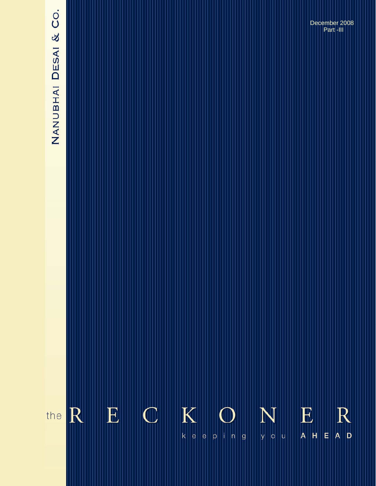# NANUBHAI DESAI & CO.

**The Reckoner….** *keeping you ahead* **August 2008**  December 2008 Part -III

### $\mathbf K$  $\mathbf E$  $\mathbf C$  $\mathbf E$ R R N the  $k||e|$ E  $A$  D  $p \mid n \mid g$  $A$   $H$  $|e|$ you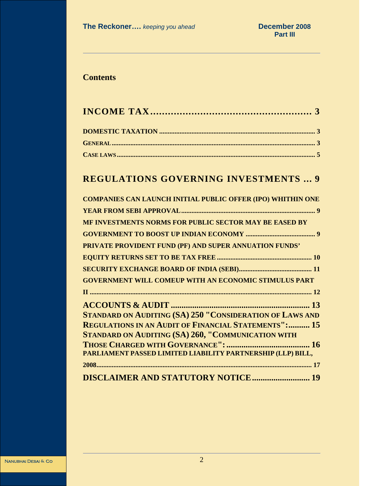# **Contents**

# **REGULATIONS GOVERNING INVESTMENTS ... 9**

**CASE LAWS ..................................................................................................................... 5**

| <b>COMPANIES CAN LAUNCH INITIAL PUBLIC OFFER (IPO) WHITHIN ONE</b> |
|--------------------------------------------------------------------|
|                                                                    |
| MF INVESTMENTS NORMS FOR PUBLIC SECTOR MAY BE EASED BY             |
|                                                                    |
| PRIVATE PROVIDENT FUND (PF) AND SUPER ANNUATION FUNDS'             |
|                                                                    |
|                                                                    |
| <b>GOVERNMENT WILL COMEUP WITH AN ECONOMIC STIMULUS PART</b>       |
|                                                                    |
|                                                                    |
| <b>STANDARD ON AUDITING (SA) 250 "CONSIDERATION OF LAWS AND</b>    |
| <b>REGULATIONS IN AN AUDIT OF FINANCIAL STATEMENTS": 15</b>        |
| <b>STANDARD ON AUDITING (SA) 260, "COMMUNICATION WITH</b>          |
|                                                                    |
| PARLIAMENT PASSED LIMITED LIABILITY PARTNERSHIP (LLP) BILL,        |
|                                                                    |
| <b>DISCLAIMER AND STATUTORY NOTICE 19</b>                          |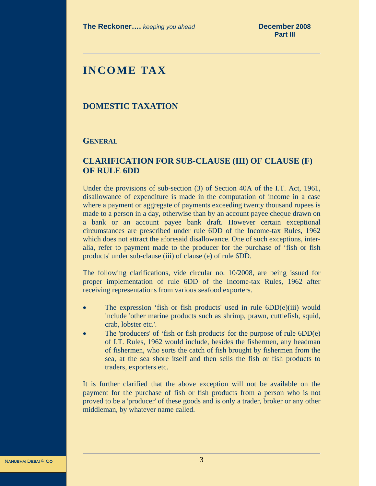# **INCOME TAX**

# **DOMESTIC TAXATION**

# **GENERAL**

# **CLARIFICATION FOR SUB-CLAUSE (III) OF CLAUSE (F) OF RULE 6DD**

Under the provisions of sub-section (3) of Section 40A of the I.T. Act, 1961, disallowance of expenditure is made in the computation of income in a case where a payment or aggregate of payments exceeding twenty thousand rupees is made to a person in a day, otherwise than by an account payee cheque drawn on a bank or an account payee bank draft. However certain exceptional circumstances are prescribed under rule 6DD of the Income-tax Rules, 1962 which does not attract the aforesaid disallowance. One of such exceptions, interalia, refer to payment made to the producer for the purchase of 'fish or fish products' under sub-clause (iii) of clause (e) of rule 6DD.

The following clarifications, vide circular no. 10/2008, are being issued for proper implementation of rule 6DD of the Income-tax Rules, 1962 after receiving representations from various seafood exporters.

- The expression 'fish or fish products' used in rule  $6DD(e)(iii)$  would include 'other marine products such as shrimp, prawn, cuttlefish, squid, crab, lobster etc.'.
- The 'producers' of 'fish or fish products' for the purpose of rule 6DD(e) of I.T. Rules, 1962 would include, besides the fishermen, any headman of fishermen, who sorts the catch of fish brought by fishermen from the sea, at the sea shore itself and then sells the fish or fish products to traders, exporters etc.

It is further clarified that the above exception will not be available on the payment for the purchase of fish or fish products from a person who is not proved to be a 'producer' of these goods and is only a trader, broker or any other middleman, by whatever name called.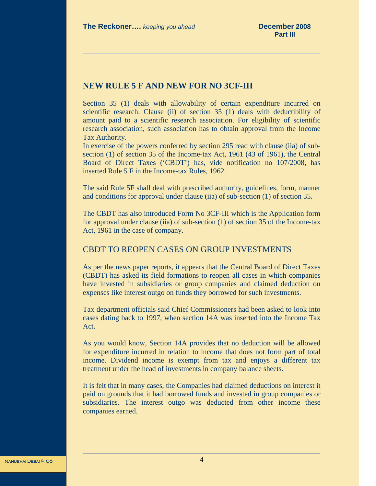# **NEW RULE 5 F AND NEW FOR NO 3CF-III**

Section 35 (1) deals with allowability of certain expenditure incurred on scientific research. Clause (ii) of section 35 (1) deals with deductibility of amount paid to a scientific research association. For eligibility of scientific research association, such association has to obtain approval from the Income Tax Authority.

In exercise of the powers conferred by section 295 read with clause (iia) of subsection (1) of section 35 of the Income-tax Act, 1961 (43 of 1961), the Central Board of Direct Taxes ('CBDT') has, vide notification no 107/2008, has inserted Rule 5 F in the Income-tax Rules, 1962.

The said Rule 5F shall deal with prescribed authority, guidelines, form, manner and conditions for approval under clause (iia) of sub-section (1) of section 35.

The CBDT has also introduced Form No 3CF-III which is the Application form for approval under clause (iia) of sub-section (1) of section 35 of the Income-tax Act, 1961 in the case of company.

# CBDT TO REOPEN CASES ON GROUP INVESTMENTS

As per the news paper reports, it appears that the Central Board of Direct Taxes (CBDT) has asked its field formations to reopen all cases in which companies have invested in subsidiaries or group companies and claimed deduction on expenses like interest outgo on funds they borrowed for such investments.

Tax department officials said Chief Commissioners had been asked to look into cases dating back to 1997, when section 14A was inserted into the Income Tax Act.

As you would know, Section 14A provides that no deduction will be allowed for expenditure incurred in relation to income that does not form part of total income. Dividend income is exempt from tax and enjoys a different tax treatment under the head of investments in company balance sheets.

It is felt that in many cases, the Companies had claimed deductions on interest it paid on grounds that it had borrowed funds and invested in group companies or subsidiaries. The interest outgo was deducted from other income these companies earned.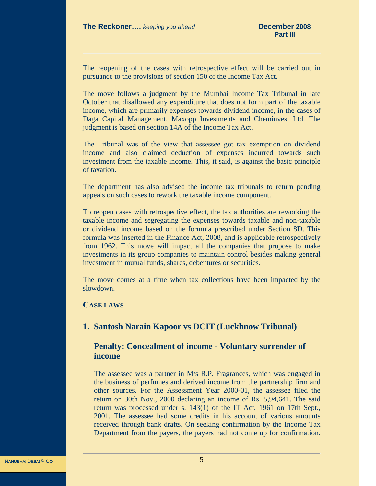The reopening of the cases with retrospective effect will be carried out in pursuance to the provisions of section 150 of the Income Tax Act.

The move follows a judgment by the Mumbai Income Tax Tribunal in late October that disallowed any expenditure that does not form part of the taxable income, which are primarily expenses towards dividend income, in the cases of Daga Capital Management, Maxopp Investments and Cheminvest Ltd. The judgment is based on section 14A of the Income Tax Act.

The Tribunal was of the view that assessee got tax exemption on dividend income and also claimed deduction of expenses incurred towards such investment from the taxable income. This, it said, is against the basic principle of taxation.

The department has also advised the income tax tribunals to return pending appeals on such cases to rework the taxable income component.

To reopen cases with retrospective effect, the tax authorities are reworking the taxable income and segregating the expenses towards taxable and non-taxable or dividend income based on the formula prescribed under Section 8D. This formula was inserted in the Finance Act, 2008, and is applicable retrospectively from 1962. This move will impact all the companies that propose to make investments in its group companies to maintain control besides making general investment in mutual funds, shares, debentures or securities.

The move comes at a time when tax collections have been impacted by the slowdown.

# **CASE LAWS**

# **1. Santosh Narain Kapoor vs DCIT (Luckhnow Tribunal)**

# **Penalty: Concealment of income - Voluntary surrender of income**

The assessee was a partner in M/s R.P. Fragrances, which was engaged in the business of perfumes and derived income from the partnership firm and other sources. For the Assessment Year 2000-01, the assessee filed the return on 30th Nov., 2000 declaring an income of Rs. 5,94,641. The said return was processed under s. 143(1) of the IT Act, 1961 on 17th Sept., 2001. The assessee had some credits in his account of various amounts received through bank drafts. On seeking confirmation by the Income Tax Department from the payers, the payers had not come up for confirmation.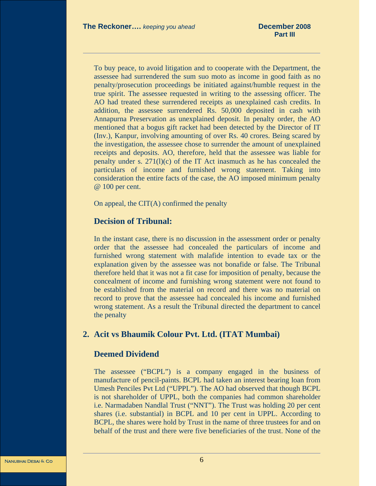To buy peace, to avoid litigation and to cooperate with the Department, the assessee had surrendered the sum suo moto as income in good faith as no penalty/prosecution proceedings be initiated against/humble request in the true spirit. The assessee requested in writing to the assessing officer. The AO had treated these surrendered receipts as unexplained cash credits. In addition, the assessee surrendered Rs. 50,000 deposited in cash with Annapurna Preservation as unexplained deposit. In penalty order, the AO mentioned that a bogus gift racket had been detected by the Director of IT (Inv.), Kanpur, involving amounting of over Rs. 40 crores. Being scared by the investigation, the assessee chose to surrender the amount of unexplained receipts and deposits. AO, therefore, held that the assessee was liable for penalty under s.  $271(1)(c)$  of the IT Act inasmuch as he has concealed the particulars of income and furnished wrong statement. Taking into consideration the entire facts of the case, the AO imposed minimum penalty @ 100 per cent.

On appeal, the  $CIT(A)$  confirmed the penalty

# **Decision of Tribunal:**

In the instant case, there is no discussion in the assessment order or penalty order that the assessee had concealed the particulars of income and furnished wrong statement with malafide intention to evade tax or the explanation given by the assessee was not bonafide or false. The Tribunal therefore held that it was not a fit case for imposition of penalty, because the concealment of income and furnishing wrong statement were not found to be established from the material on record and there was no material on record to prove that the assessee had concealed his income and furnished wrong statement. As a result the Tribunal directed the department to cancel the penalty

# **2. Acit vs Bhaumik Colour Pvt. Ltd. (ITAT Mumbai)**

# **Deemed Dividend**

The assessee ("BCPL") is a company engaged in the business of manufacture of pencil-paints. BCPL had taken an interest bearing loan from Umesh Penciles Pvt Ltd ("UPPL"). The AO had observed that though BCPL is not shareholder of UPPL, both the companies had common shareholder i.e. Narmadaben Nandlal Trust ("NNT"). The Trust was holding 20 per cent shares (i.e. substantial) in BCPL and 10 per cent in UPPL. According to BCPL, the shares were hold by Trust in the name of three trustees for and on behalf of the trust and there were five beneficiaries of the trust. None of the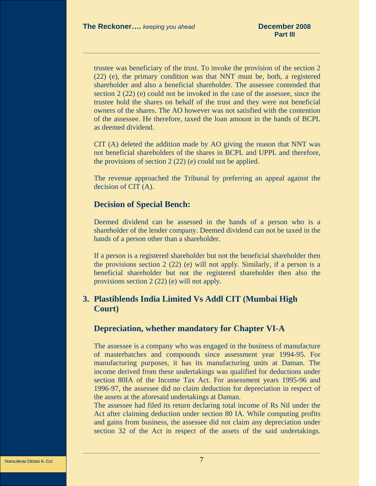trustee was beneficiary of the trust. To invoke the provision of the section 2 (22) (e), the primary condition was that NNT must be, both, a registered shareholder and also a beneficial shareholder. The assessee contended that section 2 (22) (e) could not be invoked in the case of the assessee, since the trustee hold the shares on behalf of the trust and they were not beneficial owners of the shares. The AO however was not satisfied with the contention of the assessee. He therefore, taxed the loan amount in the hands of BCPL as deemed dividend.

CIT (A) deleted the addition made by AO giving the reason that NNT was not beneficial shareholders of the shares in BCPL and UPPL and therefore, the provisions of section 2 (22) (e) could not be applied.

The revenue approached the Tribunal by preferring an appeal against the decision of CIT (A).

### **Decision of Special Bench:**

Deemed dividend can be assessed in the hands of a person who is a shareholder of the lender company. Deemed dividend can not be taxed in the hands of a person other than a shareholder.

If a person is a registered shareholder but not the beneficial shareholder then the provisions section 2 (22) (e) will not apply. Similarly, if a person is a beneficial shareholder but not the registered shareholder then also the provisions section 2 (22) (e) will not apply.

# **3. Plastiblends India Limited Vs Addl CIT (Mumbai High Court)**

# **Depreciation, whether mandatory for Chapter VI-A**

The assessee is a company who was engaged in the business of manufacture of masterbatches and compounds since assessment year 1994-95. For manufacturing purposes, it has its manufacturing units at Daman. The income derived from these undertakings was qualified for deductions under section 80IA of the Income Tax Act. For assessment years 1995-96 and 1996-97, the assessee did no claim deduction for depreciation in respect of the assets at the aforesaid undertakings at Daman.

The assessee had filed its return declaring total income of Rs Nil under the Act after claiming deduction under section 80 IA. While computing profits and gains from business, the assessee did not claim any depreciation under section 32 of the Act in respect of the assets of the said undertakings.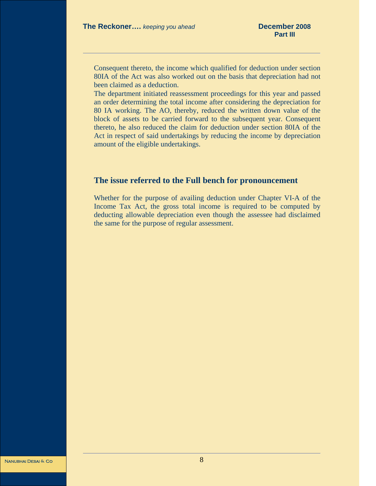Consequent thereto, the income which qualified for deduction under section 80IA of the Act was also worked out on the basis that depreciation had not been claimed as a deduction.

The department initiated reassessment proceedings for this year and passed an order determining the total income after considering the depreciation for 80 IA working. The AO, thereby, reduced the written down value of the block of assets to be carried forward to the subsequent year. Consequent thereto, he also reduced the claim for deduction under section 80IA of the Act in respect of said undertakings by reducing the income by depreciation amount of the eligible undertakings.

# **The issue referred to the Full bench for pronouncement**

Whether for the purpose of availing deduction under Chapter VI-A of the Income Tax Act, the gross total income is required to be computed by deducting allowable depreciation even though the assessee had disclaimed the same for the purpose of regular assessment.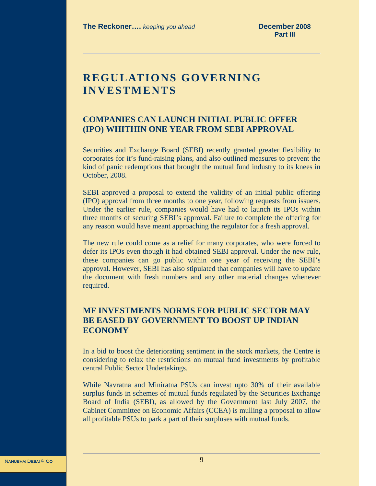# **REGULATIONS GOVERNING INVESTMENTS**

# **COMPANIES CAN LAUNCH INITIAL PUBLIC OFFER (IPO) WHITHIN ONE YEAR FROM SEBI APPROVAL**

Securities and Exchange Board (SEBI) recently granted greater flexibility to corporates for it's fund-raising plans, and also outlined measures to prevent the kind of panic redemptions that brought the mutual fund industry to its knees in October, 2008.

SEBI approved a proposal to extend the validity of an initial public offering (IPO) approval from three months to one year, following requests from issuers. Under the earlier rule, companies would have had to launch its IPOs within three months of securing SEBI's approval. Failure to complete the offering for any reason would have meant approaching the regulator for a fresh approval.

The new rule could come as a relief for many corporates, who were forced to defer its IPOs even though it had obtained SEBI approval. Under the new rule, these companies can go public within one year of receiving the SEBI's approval. However, SEBI has also stipulated that companies will have to update the document with fresh numbers and any other material changes whenever required.

# **MF INVESTMENTS NORMS FOR PUBLIC SECTOR MAY BE EASED BY GOVERNMENT TO BOOST UP INDIAN ECONOMY**

In a bid to boost the deteriorating sentiment in the stock markets, the Centre is considering to relax the restrictions on mutual fund investments by profitable central Public Sector Undertakings.

While Navratna and Miniratna PSUs can invest upto 30% of their available surplus funds in schemes of mutual funds regulated by the Securities Exchange Board of India (SEBI), as allowed by the Government last July 2007, the Cabinet Committee on Economic Affairs (CCEA) is mulling a proposal to allow all profitable PSUs to park a part of their surpluses with mutual funds.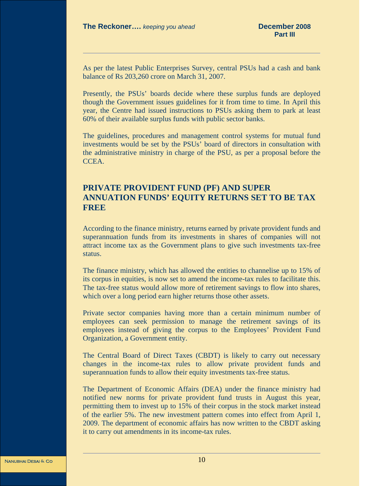As per the latest Public Enterprises Survey, central PSUs had a cash and bank balance of Rs 203,260 crore on March 31, 2007.

Presently, the PSUs' boards decide where these surplus funds are deployed though the Government issues guidelines for it from time to time. In April this year, the Centre had issued instructions to PSUs asking them to park at least 60% of their available surplus funds with public sector banks.

The guidelines, procedures and management control systems for mutual fund investments would be set by the PSUs' board of directors in consultation with the administrative ministry in charge of the PSU, as per a proposal before the CCEA.

# **PRIVATE PROVIDENT FUND (PF) AND SUPER ANNUATION FUNDS' EQUITY RETURNS SET TO BE TAX FREE**

According to the finance ministry, returns earned by private provident funds and superannuation funds from its investments in shares of companies will not attract income tax as the Government plans to give such investments tax-free status.

The finance ministry, which has allowed the entities to channelise up to 15% of its corpus in equities, is now set to amend the income-tax rules to facilitate this. The tax-free status would allow more of retirement savings to flow into shares, which over a long period earn higher returns those other assets.

Private sector companies having more than a certain minimum number of employees can seek permission to manage the retirement savings of its employees instead of giving the corpus to the Employees' Provident Fund Organization, a Government entity.

The Central Board of Direct Taxes (CBDT) is likely to carry out necessary changes in the income-tax rules to allow private provident funds and superannuation funds to allow their equity investments tax-free status.

The Department of Economic Affairs (DEA) under the finance ministry had notified new norms for private provident fund trusts in August this year, permitting them to invest up to 15% of their corpus in the stock market instead of the earlier 5%. The new investment pattern comes into effect from April 1, 2009. The department of economic affairs has now written to the CBDT asking it to carry out amendments in its income-tax rules.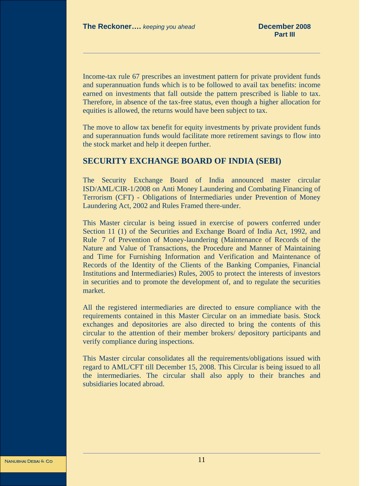Income-tax rule 67 prescribes an investment pattern for private provident funds and superannuation funds which is to be followed to avail tax benefits: income earned on investments that fall outside the pattern prescribed is liable to tax. Therefore, in absence of the tax-free status, even though a higher allocation for equities is allowed, the returns would have been subject to tax.

The move to allow tax benefit for equity investments by private provident funds and superannuation funds would facilitate more retirement savings to flow into the stock market and help it deepen further.

# **SECURITY EXCHANGE BOARD OF INDIA (SEBI)**

The Security Exchange Board of India announced master circular ISD/AML/CIR-1/2008 on Anti Money Laundering and Combating Financing of Terrorism (CFT) - Obligations of Intermediaries under Prevention of Money Laundering Act, 2002 and Rules Framed there-under.

This Master circular is being issued in exercise of powers conferred under Section 11 (1) of the Securities and Exchange Board of India Act, 1992, and Rule 7 of Prevention of Money-laundering (Maintenance of Records of the Nature and Value of Transactions, the Procedure and Manner of Maintaining and Time for Furnishing Information and Verification and Maintenance of Records of the Identity of the Clients of the Banking Companies, Financial Institutions and Intermediaries) Rules, 2005 to protect the interests of investors in securities and to promote the development of, and to regulate the securities market.

All the registered intermediaries are directed to ensure compliance with the requirements contained in this Master Circular on an immediate basis. Stock exchanges and depositories are also directed to bring the contents of this circular to the attention of their member brokers/ depository participants and verify compliance during inspections.

This Master circular consolidates all the requirements/obligations issued with regard to AML/CFT till December 15, 2008. This Circular is being issued to all the intermediaries. The circular shall also apply to their branches and subsidiaries located abroad.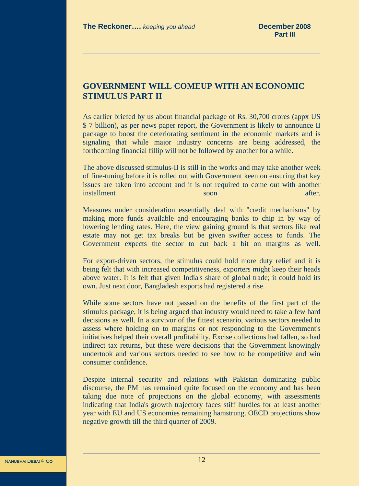# **GOVERNMENT WILL COMEUP WITH AN ECONOMIC STIMULUS PART II**

As earlier briefed by us about financial package of Rs. 30,700 crores (appx US \$ 7 billion), as per news paper report, the Government is likely to announce II package to boost the deteriorating sentiment in the economic markets and is signaling that while major industry concerns are being addressed, the forthcoming financial fillip will not be followed by another for a while.

The above discussed stimulus-II is still in the works and may take another week of fine-tuning before it is rolled out with Government keen on ensuring that key issues are taken into account and it is not required to come out with another installment soon after.

Measures under consideration essentially deal with "credit mechanisms" by making more funds available and encouraging banks to chip in by way of lowering lending rates. Here, the view gaining ground is that sectors like real estate may not get tax breaks but be given swifter access to funds. The Government expects the sector to cut back a bit on margins as well.

For export-driven sectors, the stimulus could hold more duty relief and it is being felt that with increased competitiveness, exporters might keep their heads above water. It is felt that given India's share of global trade; it could hold its own. Just next door, Bangladesh exports had registered a rise.

While some sectors have not passed on the benefits of the first part of the stimulus package, it is being argued that industry would need to take a few hard decisions as well. In a survivor of the fittest scenario, various sectors needed to assess where holding on to margins or not responding to the Government's initiatives helped their overall profitability. Excise collections had fallen, so had indirect tax returns, but these were decisions that the Government knowingly undertook and various sectors needed to see how to be competitive and win consumer confidence.

Despite internal security and relations with Pakistan dominating public discourse, the PM has remained quite focused on the economy and has been taking due note of projections on the global economy, with assessments indicating that India's growth trajectory faces stiff hurdles for at least another year with EU and US economies remaining hamstrung. OECD projections show negative growth till the third quarter of 2009.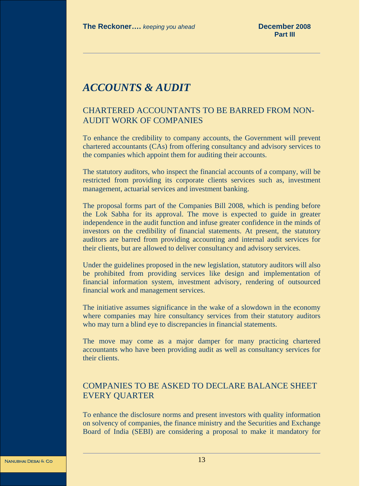# *ACCOUNTS & AUDIT*

# CHARTERED ACCOUNTANTS TO BE BARRED FROM NON-AUDIT WORK OF COMPANIES

To enhance the credibility to company accounts, the Government will prevent chartered accountants (CAs) from offering consultancy and advisory services to the companies which appoint them for auditing their accounts.

The statutory auditors, who inspect the financial accounts of a company, will be restricted from providing its corporate clients services such as, investment management, actuarial services and investment banking.

The proposal forms part of the Companies Bill 2008, which is pending before the Lok Sabha for its approval. The move is expected to guide in greater independence in the audit function and infuse greater confidence in the minds of investors on the credibility of financial statements. At present, the statutory auditors are barred from providing accounting and internal audit services for their clients, but are allowed to deliver consultancy and advisory services.

Under the guidelines proposed in the new legislation, statutory auditors will also be prohibited from providing services like design and implementation of financial information system, investment advisory, rendering of outsourced financial work and management services.

The initiative assumes significance in the wake of a slowdown in the economy where companies may hire consultancy services from their statutory auditors who may turn a blind eye to discrepancies in financial statements.

The move may come as a major damper for many practicing chartered accountants who have been providing audit as well as consultancy services for their clients.

# COMPANIES TO BE ASKED TO DECLARE BALANCE SHEET EVERY QUARTER

To enhance the disclosure norms and present investors with quality information on solvency of companies, the finance ministry and the Securities and Exchange Board of India (SEBI) are considering a proposal to make it mandatory for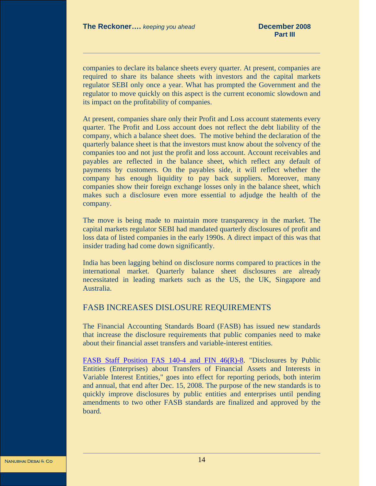companies to declare its balance sheets every quarter. At present, companies are required to share its balance sheets with investors and the capital markets regulator SEBI only once a year. What has prompted the Government and the regulator to move quickly on this aspect is the current economic slowdown and its impact on the profitability of companies.

At present, companies share only their Profit and Loss account statements every quarter. The Profit and Loss account does not reflect the debt liability of the company, which a balance sheet does. The motive behind the declaration of the quarterly balance sheet is that the investors must know about the solvency of the companies too and not just the profit and loss account. Account receivables and payables are reflected in the balance sheet, which reflect any default of payments by customers. On the payables side, it will reflect whether the company has enough liquidity to pay back suppliers. Moreover, many companies show their foreign exchange losses only in the balance sheet, which makes such a disclosure even more essential to adjudge the health of the company.

The move is being made to maintain more transparency in the market. The capital markets regulator SEBI had mandated quarterly disclosures of profit and loss data of listed companies in the early 1990s. A direct impact of this was that insider trading had come down significantly.

India has been lagging behind on disclosure norms compared to practices in the international market. Quarterly balance sheet disclosures are already necessitated in leading markets such as the US, the UK, Singapore and Australia.

# FASB INCREASES DISLOSURE REQUIREMENTS

The Financial Accounting Standards Board (FASB) has issued new standards that increase the disclosure requirements that public companies need to make about their financial asset transfers and variable-interest entities.

FASB Staff Position FAS 140-4 and FIN 46(R)-8. "Disclosures by Public Entities (Enterprises) about Transfers of Financial Assets and Interests in Variable Interest Entities," goes into effect for reporting periods, both interim and annual, that end after Dec. 15, 2008. The purpose of the new standards is to quickly improve disclosures by public entities and enterprises until pending amendments to two other FASB standards are finalized and approved by the board.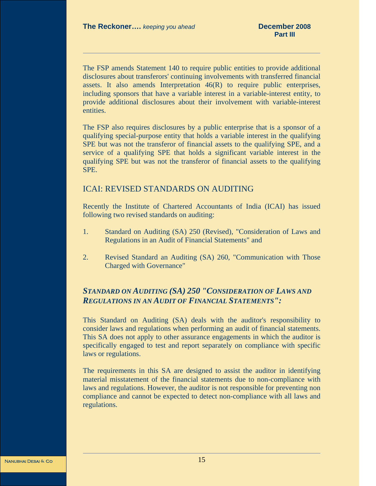The FSP amends Statement 140 to require public entities to provide additional disclosures about transferors' continuing involvements with transferred financial assets. It also amends Interpretation 46(R) to require public enterprises, including sponsors that have a variable interest in a variable-interest entity, to provide additional disclosures about their involvement with variable-interest entities.

The FSP also requires disclosures by a public enterprise that is a sponsor of a qualifying special-purpose entity that holds a variable interest in the qualifying SPE but was not the transferor of financial assets to the qualifying SPE, and a service of a qualifying SPE that holds a significant variable interest in the qualifying SPE but was not the transferor of financial assets to the qualifying SPE.

# ICAI: REVISED STANDARDS ON AUDITING

Recently the Institute of Chartered Accountants of India (ICAI) has issued following two revised standards on auditing:

- 1. Standard on Auditing (SA) 250 (Revised), "Consideration of Laws and Regulations in an Audit of Financial Statements" and
- 2. Revised Standard an Auditing (SA) 260, "Communication with Those Charged with Governance"

# *STANDARD ON AUDITING (SA) 250 "CONSIDERATION OF LAWS AND REGULATIONS IN AN AUDIT OF FINANCIAL STATEMENTS":*

This Standard on Auditing (SA) deals with the auditor's responsibility to consider laws and regulations when performing an audit of financial statements. This SA does not apply to other assurance engagements in which the auditor is specifically engaged to test and report separately on compliance with specific laws or regulations.

The requirements in this SA are designed to assist the auditor in identifying material misstatement of the financial statements due to non-compliance with laws and regulations. However, the auditor is not responsible for preventing non compliance and cannot be expected to detect non-compliance with all laws and regulations.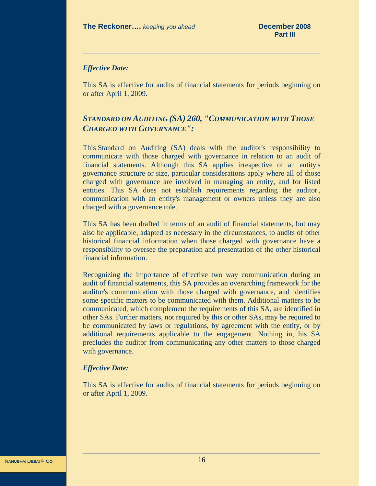### *Effective Date:*

This SA is effective for audits of financial statements for periods beginning on or after April 1, 2009.

# *STANDARD ON AUDITING (SA) 260, "COMMUNICATION WITH THOSE CHARGED WITH GOVERNANCE":*

This Standard on Auditing (SA) deals with the auditor's responsibility to communicate with those charged with governance in relation to an audit of financial statements. Although this SA applies irrespective of an entity's governance structure or size, particular considerations apply where all of those charged with governance are involved in managing an entity, and for listed entities. This SA does not establish requirements regarding the auditor', communication with an entity's management or owners unless they are also charged with a governance role.

This SA has been drafted in terms of an audit of financial statements, but may also be applicable, adapted as necessary in the circumstances, to audits of other historical financial information when those charged with governance have a responsibility to oversee the preparation and presentation of the other historical financial information.

Recognizing the importance of effective two way communication during an audit of financial statements, this SA provides an overarching framework for the auditor's communication with those charged with governance, and identifies some specific matters to be communicated with them. Additional matters to be communicated, which complement the requirements of this SA, are identified in other SAs. Further matters, not required by this or other SAs, may be required to be communicated by laws or regulations, by agreement with the entity, or by additional requirements applicable to the engagement. Nothing in, his SA precludes the auditor from communicating any other matters to those charged with governance.

### *Effective Date:*

This SA is effective for audits of financial statements for periods beginning on or after April 1, 2009.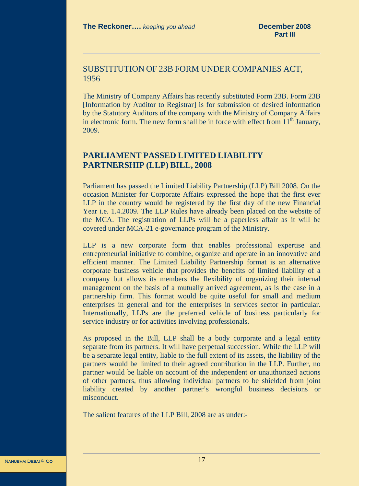# SUBSTITUTION OF 23B FORM UNDER COMPANIES ACT, 1956

The Ministry of Company Affairs has recently substituted Form 23B. Form 23B [Information by Auditor to Registrar] is for submission of desired information by the Statutory Auditors of the company with the Ministry of Company Affairs in electronic form. The new form shall be in force with effect from  $11<sup>th</sup>$  January, 2009.

# **PARLIAMENT PASSED LIMITED LIABILITY PARTNERSHIP (LLP) BILL, 2008**

Parliament has passed the Limited Liability Partnership (LLP) Bill 2008. On the occasion Minister for Corporate Affairs expressed the hope that the first ever LLP in the country would be registered by the first day of the new Financial Year i.e. 1.4.2009. The LLP Rules have already been placed on the website of the MCA. The registration of LLPs will be a paperless affair as it will be covered under MCA-21 e-governance program of the Ministry.

LLP is a new corporate form that enables professional expertise and entrepreneurial initiative to combine, organize and operate in an innovative and efficient manner. The Limited Liability Partnership format is an alternative corporate business vehicle that provides the benefits of limited liability of a company but allows its members the flexibility of organizing their internal management on the basis of a mutually arrived agreement, as is the case in a partnership firm. This format would be quite useful for small and medium enterprises in general and for the enterprises in services sector in particular. Internationally, LLPs are the preferred vehicle of business particularly for service industry or for activities involving professionals.

As proposed in the Bill, LLP shall be a body corporate and a legal entity separate from its partners. It will have perpetual succession. While the LLP will be a separate legal entity, liable to the full extent of its assets, the liability of the partners would be limited to their agreed contribution in the LLP. Further, no partner would be liable on account of the independent or unauthorized actions of other partners, thus allowing individual partners to be shielded from joint liability created by another partner's wrongful business decisions or misconduct.

The salient features of the LLP Bill, 2008 are as under:-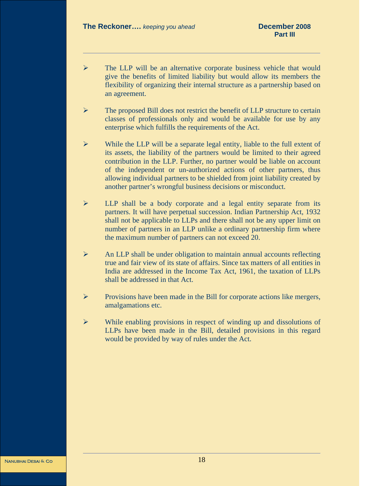- ¾ The LLP will be an alternative corporate business vehicle that would give the benefits of limited liability but would allow its members the flexibility of organizing their internal structure as a partnership based on an agreement.
- ¾ The proposed Bill does not restrict the benefit of LLP structure to certain classes of professionals only and would be available for use by any enterprise which fulfills the requirements of the Act.
- $\triangleright$  While the LLP will be a separate legal entity, liable to the full extent of its assets, the liability of the partners would be limited to their agreed contribution in the LLP. Further, no partner would be liable on account of the independent or un-authorized actions of other partners, thus allowing individual partners to be shielded from joint liability created by another partner's wrongful business decisions or misconduct.
- ¾ LLP shall be a body corporate and a legal entity separate from its partners. It will have perpetual succession. Indian Partnership Act, 1932 shall not be applicable to LLPs and there shall not be any upper limit on number of partners in an LLP unlike a ordinary partnership firm where the maximum number of partners can not exceed 20.
- $\triangleright$  An LLP shall be under obligation to maintain annual accounts reflecting true and fair view of its state of affairs. Since tax matters of all entities in India are addressed in the Income Tax Act, 1961, the taxation of LLPs shall be addressed in that Act.
- ¾ Provisions have been made in the Bill for corporate actions like mergers, amalgamations etc.
- $\triangleright$  While enabling provisions in respect of winding up and dissolutions of LLPs have been made in the Bill, detailed provisions in this regard would be provided by way of rules under the Act.